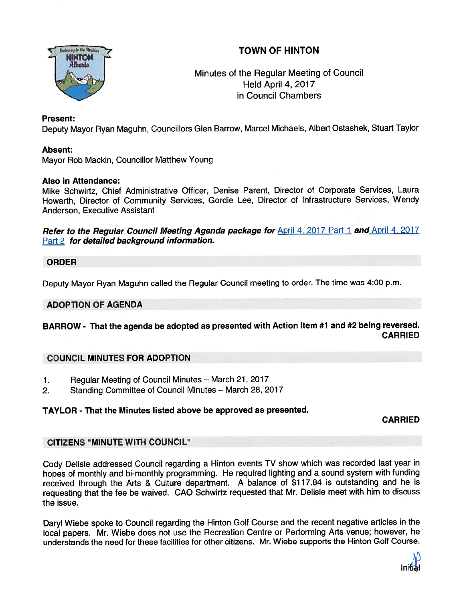# TOWN OF HINTON



# Minutes of the Regular Meeting of Council Held April 4, 2017 in Council Chambers

### Present:

Deputy Mayor Ryan Maguhn, Councillors Glen Barrow, Marcel Michaels, Albert Ostashek, Stuart Taylor

### Absent:

Mayor Rob Mackin, Councillor Matthew Young

#### Also in Attendance:

Mike Schwirtz, Chief Administrative Officer, Denise Parent, Director of Corporate Services, Laura Howarth, Director of Community Services, Gordie Lee, Director of Infrastructure Services, Wendy Anderson, Executive Assistant

Refer to the Regular Council Meeting Agenda package for April 4, 2017 Part 1 and April 4, 2017 Part 2 for detailed background information.

### ORDER

Deputy Mayor Ryan Maguhn called the Regular Council meeting to order. The time was 4:00 p.m.

### ADOPTION OF AGENDA

# BARROW - That the agenda be adopted as presented with Action Item #1 and #2 being reversed. CARRIED

### COUNCIL MINUTES FOR ADOPTION

- 1. Regular Meeting of Council Minutes March 21, 2017
- 2. Standing Committee of Council Minutes March 28, 2017

### TAYLOR - That the Minutes listed above be approved as presented.

CARRIED

### CITIZENS "MINUTE WITH COUNCIL"

Cody Delisle addressed Council regarding <sup>a</sup> Hinton events TV show which was recorded last year in hopes of monthly and bi-monthly programming. He required lighting and <sup>a</sup> sound system with funding received through the Arts & Culture department. <sup>A</sup> balance of \$117.84 is outstanding and he is requesting that the fee be waived. CAO Schwirtz requested that Mr. Delisle meet with him to discuss the issue.

Daryl Wiebe spoke to Council regarding the Hinton Golf Course and the recent negative articles in the local papers. Mr. Wiebe does not use the Recreation Centre or Performing Arts venue; however, he understands the need for these facilities for other citizens. Mr. Wiebe supports the Hinton Golf Course.

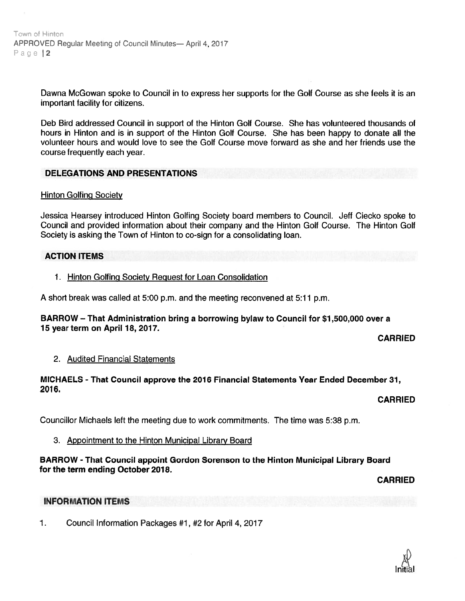Dawna McGowan spoke to Council in to express her supports for the Golf Course as she feels it is an important facility for citizens.

Deb Bird addressed Council in suppor<sup>t</sup> of the Hinton Golf Course. She has volunteered thousands of hours in Hinton and is in suppor<sup>t</sup> of the Hinton Golf Course. She has been happy to donate all the volunteer hours and would love to see the Golf Course move forward as she and her friends use the course frequently each year.

### DELEGATIONS AND PRESENTATIONS

#### **Hinton Golfing Society**

Jessica Hearsey introduced Hinton Golfing Society board members to Council. Jeff Ciecko spoke to Council and provided information about their company and the Hinton Golf Course. The Hinton Golf Society is asking the Town of Hinton to co-sign for <sup>a</sup> consolidating loan.

#### ACTION ITEMS

1. Hinton Golfing Society Reguest for Loan Consolidation

A short break was called at 5:00 p.m. and the meeting reconvened at 5:11 p.m.

#### BARROW — That Administration bring <sup>a</sup> borrowing bylaw to Council for \$1,500,000 over <sup>a</sup> 15 year term on April 18, 2017.

CARRIED

#### 2. Audited Financial Statements

#### MICHAELS - That Council approve the 2016 Financial Statements Year Ended December 31, 2016.

### CARRIED

Councillor Michaels left the meeting due to work commitments. The time was 5:38 p.m.

### 3. Appointment to the Hinton Municipal Library Board

### BARROW - That Council appoint Gordon Sorenson to the Hinton Municipal Library Board for the term ending October 2018.

CARRIED

#### INFORMATION ITEMS

1. Council Information Packages #1, #2 for April 4,2017